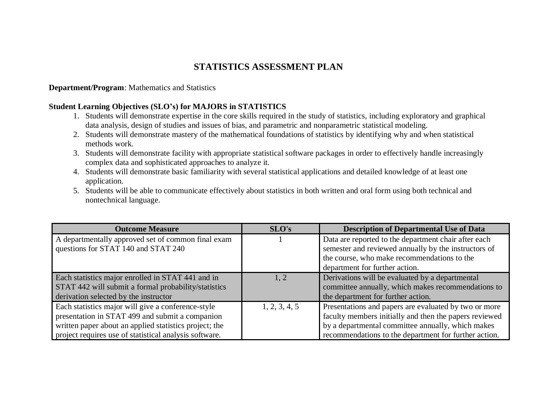## **STATISTICS ASSESSMENT PLAN**

## **Department/Program**: Mathematics and Statistics

## **Student Learning Objectives (SLO's) for MAJORS in STATISTICS**

- 1. Students will demonstrate expertise in the core skills required in the study of statistics, including exploratory and graphical data analysis, design of studies and issues of bias, and parametric and nonparametric statistical modeling.
- 2. Students will demonstrate mastery of the mathematical foundations of statistics by identifying why and when statistical methods work.
- 3. Students will demonstrate facility with appropriate statistical software packages in order to effectively handle increasingly complex data and sophisticated approaches to analyze it.
- 4. Students will demonstrate basic familiarity with several statistical applications and detailed knowledge of at least one application.
- 5. Students will be able to communicate effectively about statistics in both written and oral form using both technical and nontechnical language.

| <b>Outcome Measure</b>                                 | SLO's         | <b>Description of Departmental Use of Data</b>         |  |
|--------------------------------------------------------|---------------|--------------------------------------------------------|--|
| A departmentally approved set of common final exam     |               | Data are reported to the department chair after each   |  |
| questions for STAT 140 and STAT 240                    |               | semester and reviewed annually by the instructors of   |  |
|                                                        |               | the course, who make recommendations to the            |  |
|                                                        |               | department for further action.                         |  |
| Each statistics major enrolled in STAT 441 and in      | 1.2           | Derivations will be evaluated by a departmental        |  |
| STAT 442 will submit a formal probability/statistics   |               | committee annually, which makes recommendations to     |  |
| derivation selected by the instructor                  |               | the department for further action.                     |  |
| Each statistics major will give a conference-style     | 1, 2, 3, 4, 5 | Presentations and papers are evaluated by two or more  |  |
| presentation in STAT 499 and submit a companion        |               | faculty members initially and then the papers reviewed |  |
| written paper about an applied statistics project; the |               | by a departmental committee annually, which makes      |  |
| project requires use of statistical analysis software. |               | recommendations to the department for further action.  |  |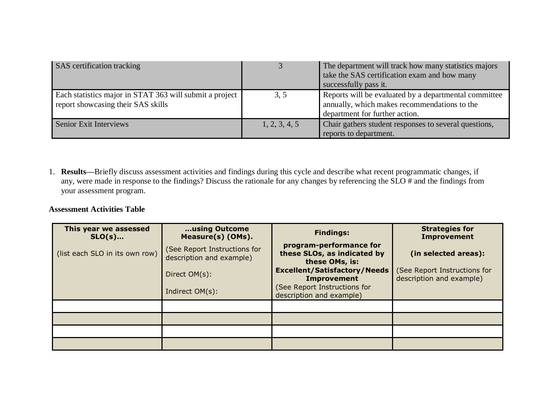| <b>SAS</b> certification tracking                                                             |               | The department will track how many statistics majors<br>take the SAS certification exam and how many<br>successfully pass it.           |
|-----------------------------------------------------------------------------------------------|---------------|-----------------------------------------------------------------------------------------------------------------------------------------|
| Each statistics major in STAT 363 will submit a project<br>report showcasing their SAS skills | 3, 5          | Reports will be evaluated by a departmental committee<br>annually, which makes recommendations to the<br>department for further action. |
| Senior Exit Interviews                                                                        | 1, 2, 3, 4, 5 | Chair gathers student responses to several questions,<br>reports to department.                                                         |

1. **Results—**Briefly discuss assessment activities and findings during this cycle and describe what recent programmatic changes, if any, were made in response to the findings? Discuss the rationale for any changes by referencing the SLO # and the findings from your assessment program.

## **Assessment Activities Table**

| This year we assessed<br>$SLO(s)$ | using Outcome<br>Measure(s) (OMs).                       | <b>Findings:</b>                                                                          | <b>Strategies for</b><br><b>Improvement</b>              |
|-----------------------------------|----------------------------------------------------------|-------------------------------------------------------------------------------------------|----------------------------------------------------------|
| (list each SLO in its own row)    | (See Report Instructions for<br>description and example) | program-performance for<br>these SLOs, as indicated by<br>these OMs, is:                  | (in selected areas):                                     |
|                                   | Direct OM(s):<br>Indirect OM(s):                         | <b>Excellent/Satisfactory/Needs</b><br><b>Improvement</b><br>(See Report Instructions for | (See Report Instructions for<br>description and example) |
|                                   |                                                          | description and example)                                                                  |                                                          |
|                                   |                                                          |                                                                                           |                                                          |
|                                   |                                                          |                                                                                           |                                                          |
|                                   |                                                          |                                                                                           |                                                          |